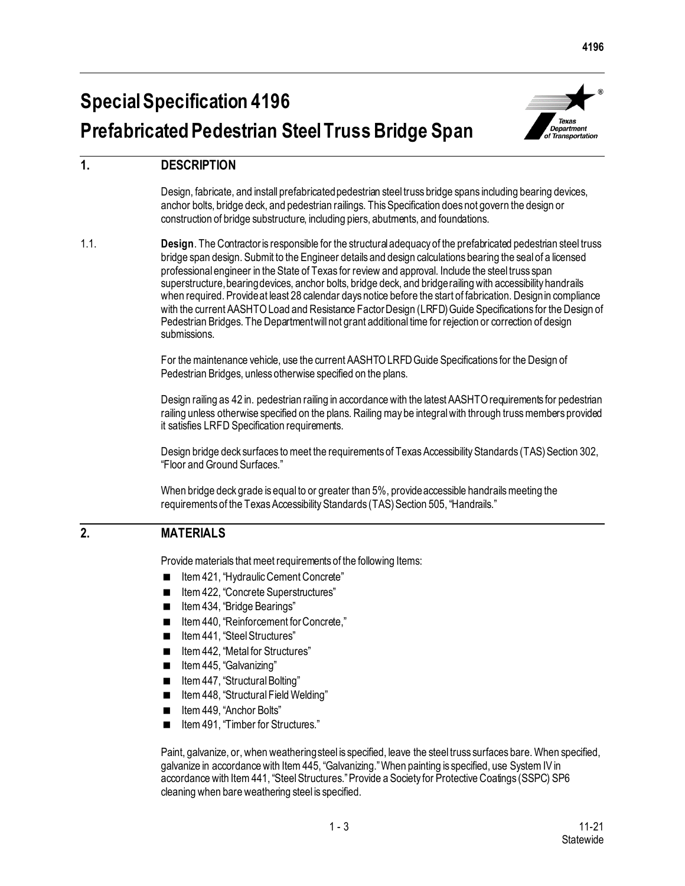# **Special Specification 4196 Prefabricated Pedestrian Steel Truss Bridge Span**



## **1. DESCRIPTION**

Design, fabricate, and install prefabricated pedestrian steel truss bridge spans including bearing devices, anchor bolts, bridge deck, and pedestrian railings. This Specification does not govern the design or construction of bridge substructure, including piers, abutments, and foundations.

1.1. **Design**. The Contractor is responsible for the structural adequacy of the prefabricated pedestrian steel truss bridge span design. Submit to the Engineer details and design calculations bearing the seal of a licensed professional engineer in the State of Texas for review and approval. Include the steel truss span superstructure, bearing devices, anchor bolts, bridge deck, and bridge railing with accessibility handrails when required. Provide at least 28 calendar days notice before the start of fabrication. Design in compliance with the current AASHTO Load and Resistance Factor Design (LRFD) Guide Specifications for the Design of Pedestrian Bridges. The Department will not grant additional time for rejection or correction of design submissions.

> For the maintenance vehicle, use the current AASHTO LRFD Guide Specifications for the Design of Pedestrian Bridges, unless otherwise specified on the plans.

Design railing as 42 in. pedestrian railing in accordance with the latest AASHTO requirements for pedestrian railing unless otherwise specified on the plans. Railing may be integral with through truss members provided it satisfies LRFD Specification requirements.

Design bridge deck surfaces to meet the requirements of Texas Accessibility Standards (TAS) Section 302, "Floor and Ground Surfaces."

When bridge deck grade is equal to or greater than 5%, provide accessible handrails meeting the requirements of the Texas Accessibility Standards (TAS) Section 505, "Handrails."

### **2. MATERIALS**

Provide materials that meet requirements of the following Items:

- Item 421, "Hydraulic Cement Concrete"
- Item 422, "Concrete Superstructures"
- Item 434, "Bridge Bearings"
- Item 440, "Reinforcement for Concrete,"
- Item 441, "Steel Structures"
- Item 442, "Metal for Structures"
- **If Lu** ltem 445, "Galvanizing"
- Item 447, "Structural Bolting"
- Item 448, "Structural Field Welding"
- Item 449, "Anchor Bolts"
- Item 491, "Timber for Structures."

Paint, galvanize, or, when weathering steel is specified, leave the steel truss surfaces bare. When specified, galvanize in accordance with Item 445, "Galvanizing."When painting is specified, use System IV in accordance with Item 441, "Steel Structures." Provide a Society for Protective Coatings (SSPC) SP6 cleaning when bare weathering steel is specified.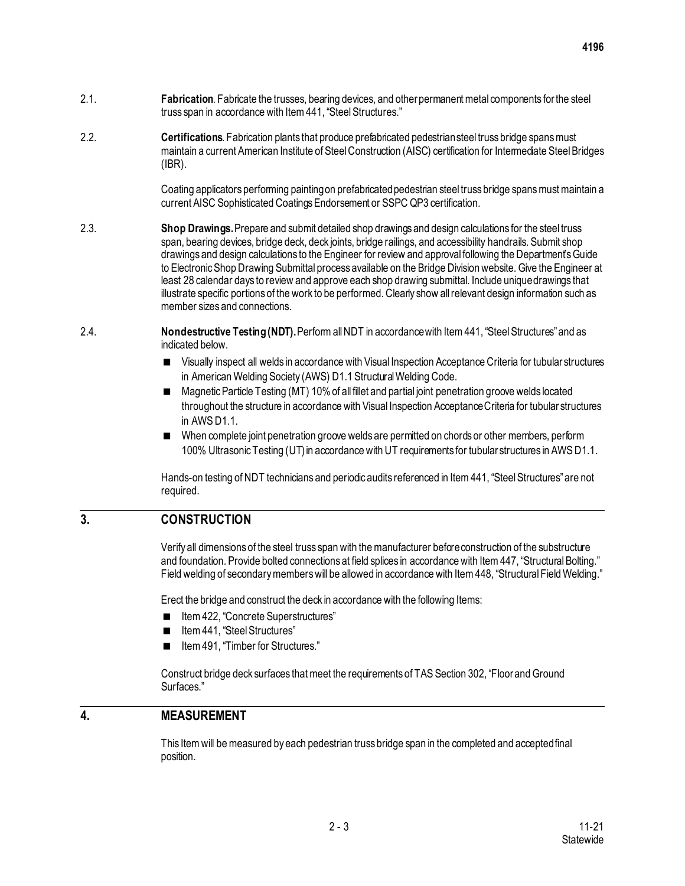- 2.1. **Fabrication**. Fabricate the trusses, bearing devices, and other permanent metal components for the steel truss span in accordance with Item441, "Steel Structures."
- 2.2. **Certifications**. Fabrication plants that produce prefabricated pedestrian steel truss bridge spans must maintain a current American Institute of Steel Construction (AISC) certification for Intermediate Steel Bridges (IBR).

Coating applicators performing painting on prefabricated pedestrian steel truss bridge spans must maintain a current AISC Sophisticated Coatings Endorsement or SSPC QP3 certification.

- 2.3. **Shop Drawings.** Prepare and submit detailed shop drawings and design calculations for the steel truss span, bearing devices, bridge deck, deck joints, bridge railings, and accessibility handrails. Submit shop drawings and design calculations to the Engineer for review and approval following the Department's Guide to Electronic Shop Drawing Submittal process available on the Bridge Division website. Give the Engineer at least 28 calendar days to review and approve each shop drawing submittal. Include unique drawings that illustrate specific portions of the work to be performed. Clearly show all relevant design information such as member sizes and connections.
- 2.4. **Nondestructive Testing (NDT).** Perform all NDT in accordance with Item 441, "Steel Structures"and as indicated below.
	- Visually inspect all welds in accordance with Visual Inspection Acceptance Criteria for tubular structures in American Welding Society (AWS) D1.1 Structural Welding Code.
	- Magnetic Particle Testing (MT) 10% of all fillet and partial joint penetration groove welds located throughout the structure in accordance with Visual Inspection Acceptance Criteria for tubular structures in AWS D1.1.
	- When complete joint penetration groove welds are permitted on chords or other members, perform 100% Ultrasonic Testing (UT) in accordance with UT requirements for tubular structures in AWS D1.1.

Hands-on testing of NDT technicians and periodic audits referenced in Item 441, "Steel Structures"are not required.

### **3. CONSTRUCTION**

Verify all dimensions of the steel truss span with the manufacturer beforeconstruction of the substructure and foundation. Provide bolted connections at field splices in accordance with Item 447, "Structural Bolting." Field welding of secondary members will be allowed in accordance with Item 448, "Structural Field Welding."

Erect the bridge and construct the deck in accordance with the following Items:

- Item 422, "Concrete Superstructures"
- Item 441, "Steel Structures"
- Item 491, "Timber for Structures."

Construct bridge deck surfaces that meet the requirements of TAS Section 302, "Floor and Ground Surfaces."

#### **4. MEASUREMENT**

This Item will be measured by each pedestrian truss bridge span in the completed and accepted final position.